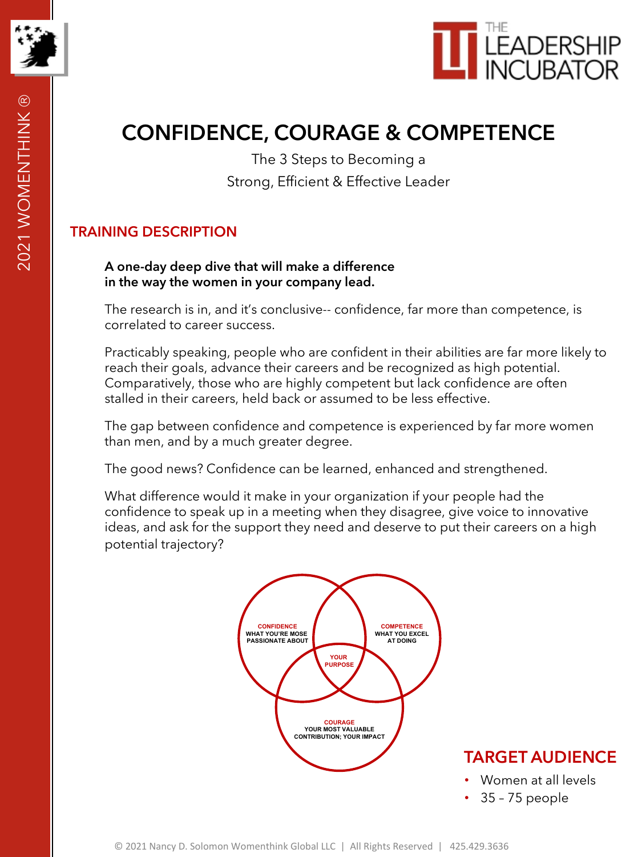



# **CONFIDENCE, COURAGE & COMPETENCE**

The 3 Steps to Becoming a Strong, Efficient & Effective Leader

### **TRAINING DESCRIPTION**

#### **A one-day deep dive that will make a difference in the way the women in your company lead.**

The research is in, and it's conclusive-- confidence, far more than competence, is correlated to career success.

Practicably speaking, people who are confident in their abilities are far more likely to reach their goals, advance their careers and be recognized as high potential. Comparatively, those who are highly competent but lack confidence are often stalled in their careers, held back or assumed to be less effective.

The gap between confidence and competence is experienced by far more women than men, and by a much greater degree.

The good news? Confidence can be learned, enhanced and strengthened.

What difference would it make in your organization if your people had the confidence to speak up in a meeting when they disagree, give voice to innovative ideas, and ask for the support they need and deserve to put their careers on a high potential trajectory?



**TARGET AUDIENCE**

- Women at all levels
- 35 75 people